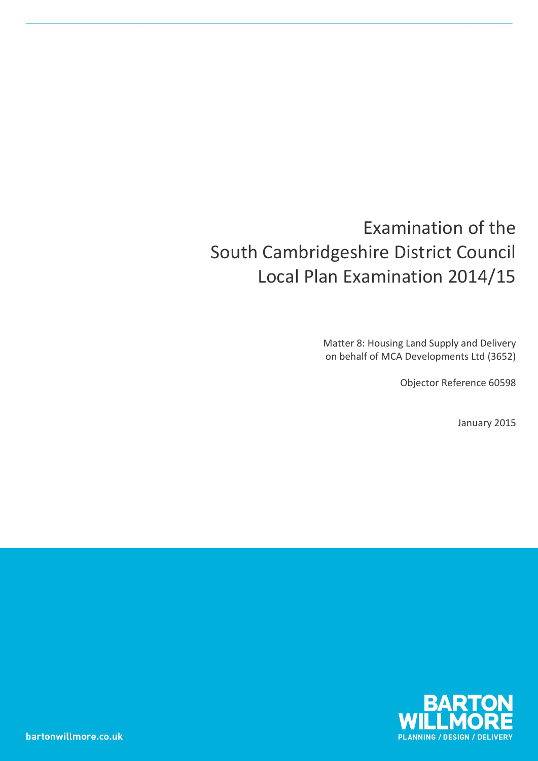# Examination of the South Cambridgeshire District Council Local Plan Examination 2014/15

Matter 8: Housing Land Supply and Delivery on behalf of MCA Developments Ltd (3652)

Objector Reference 60598

January 2015

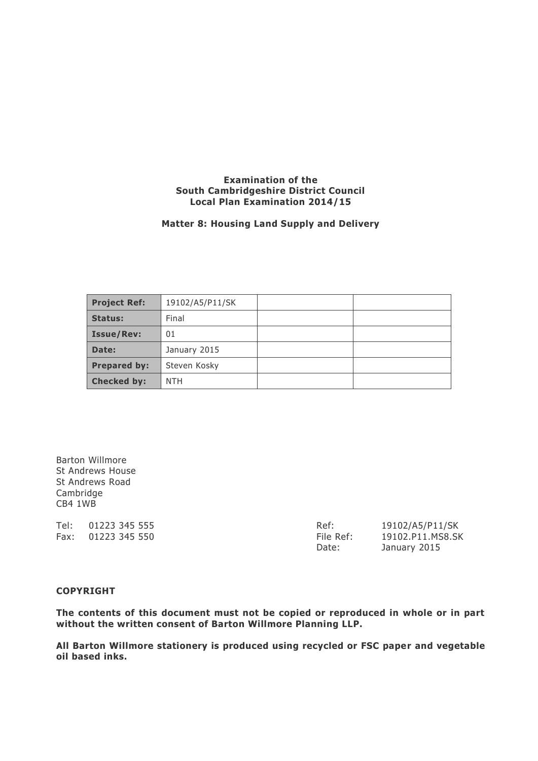#### **Examination of the South Cambridgeshire District Council Local Plan Examination 2014/15**

#### **Matter 8: Housing Land Supply and Delivery**

| <b>Project Ref:</b> | 19102/A5/P11/SK |  |
|---------------------|-----------------|--|
| Status:             | Final           |  |
| <b>Issue/Rev:</b>   | 01              |  |
| Date:               | January 2015    |  |
| <b>Prepared by:</b> | Steven Kosky    |  |
| <b>Checked by:</b>  | <b>NTH</b>      |  |

Barton Willmore St Andrews House St Andrews Road Cambridge CB4 1WB

Tel: 01223 345 555 Ref: 19102/A5/P11/SK Fax: 01223 345 550 File Ref: 19102.P11.MS8.SK

Date: January 2015

#### **COPYRIGHT**

**The contents of this document must not be copied or reproduced in whole or in part without the written consent of Barton Willmore Planning LLP.**

**All Barton Willmore stationery is produced using recycled or FSC paper and vegetable oil based inks.**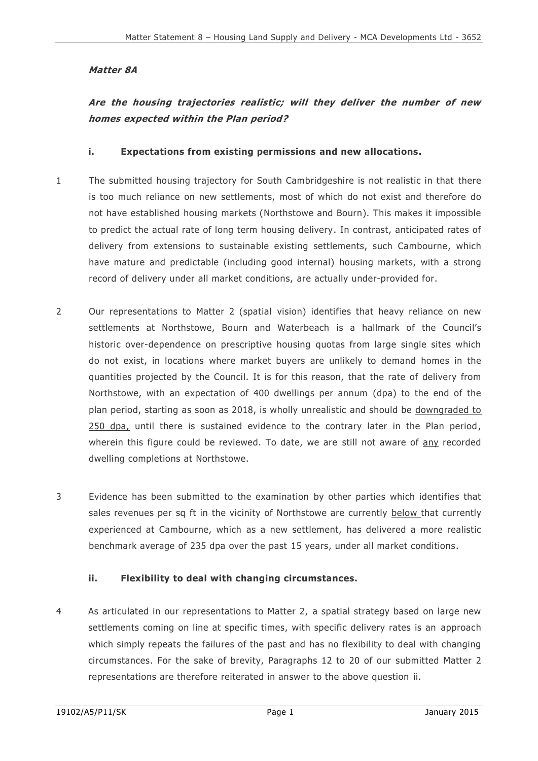## **Matter 8A**

# **Are the housing trajectories realistic; will they deliver the number of new homes expected within the Plan period?**

#### **i. Expectations from existing permissions and new allocations.**

- 1 The submitted housing trajectory for South Cambridgeshire is not realistic in that there is too much reliance on new settlements, most of which do not exist and therefore do not have established housing markets (Northstowe and Bourn). This makes it impossible to predict the actual rate of long term housing delivery. In contrast, anticipated rates of delivery from extensions to sustainable existing settlements, such Cambourne, which have mature and predictable (including good internal) housing markets, with a strong record of delivery under all market conditions, are actually under-provided for.
- 2 Our representations to Matter 2 (spatial vision) identifies that heavy reliance on new settlements at Northstowe, Bourn and Waterbeach is a hallmark of the Council's historic over-dependence on prescriptive housing quotas from large single sites which do not exist, in locations where market buyers are unlikely to demand homes in the quantities projected by the Council. It is for this reason, that the rate of delivery from Northstowe, with an expectation of 400 dwellings per annum (dpa) to the end of the plan period, starting as soon as 2018, is wholly unrealistic and should be downgraded to 250 dpa, until there is sustained evidence to the contrary later in the Plan period , wherein this figure could be reviewed. To date, we are still not aware of any recorded dwelling completions at Northstowe.
- 3 Evidence has been submitted to the examination by other parties which identifies that sales revenues per sq ft in the vicinity of Northstowe are currently below that currently experienced at Cambourne, which as a new settlement, has delivered a more realistic benchmark average of 235 dpa over the past 15 years, under all market conditions.

### **ii. Flexibility to deal with changing circumstances.**

4 As articulated in our representations to Matter 2, a spatial strategy based on large new settlements coming on line at specific times, with specific delivery rates is an approach which simply repeats the failures of the past and has no flexibility to deal with changing circumstances. For the sake of brevity, Paragraphs 12 to 20 of our submitted Matter 2 representations are therefore reiterated in answer to the above question ii.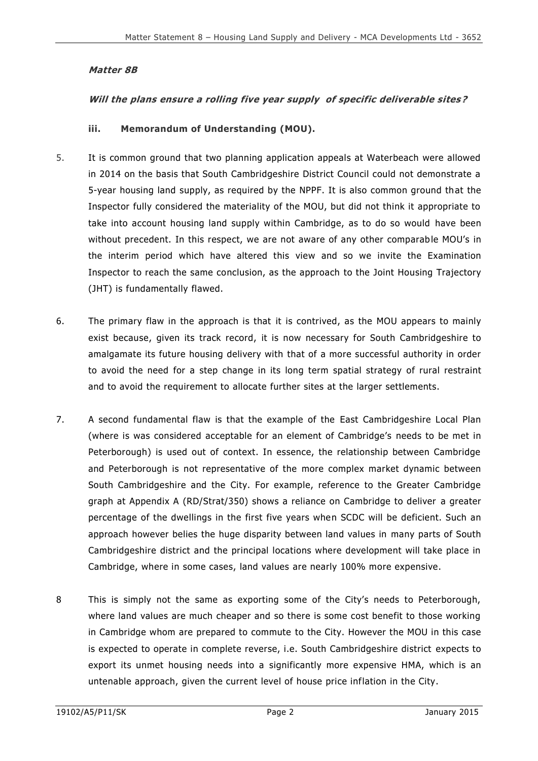### **Matter 8B**

### **Will the plans ensure a rolling five year supply of specific deliverable sites ?**

#### **iii. Memorandum of Understanding (MOU).**

- 5. It is common ground that two planning application appeals at Waterbeach were allowed in 2014 on the basis that South Cambridgeshire District Council could not demonstrate a 5-year housing land supply, as required by the NPPF. It is also common ground that the Inspector fully considered the materiality of the MOU, but did not think it appropriate to take into account housing land supply within Cambridge, as to do so would have been without precedent. In this respect, we are not aware of any other comparable MOU's in the interim period which have altered this view and so we invite the Examination Inspector to reach the same conclusion, as the approach to the Joint Housing Trajectory (JHT) is fundamentally flawed.
- 6. The primary flaw in the approach is that it is contrived, as the MOU appears to mainly exist because, given its track record, it is now necessary for South Cambridgeshire to amalgamate its future housing delivery with that of a more successful authority in order to avoid the need for a step change in its long term spatial strategy of rural restraint and to avoid the requirement to allocate further sites at the larger settlements.
- 7. A second fundamental flaw is that the example of the East Cambridgeshire Local Plan (where is was considered acceptable for an element of Cambridge's needs to be met in Peterborough) is used out of context. In essence, the relationship between Cambridge and Peterborough is not representative of the more complex market dynamic between South Cambridgeshire and the City. For example, reference to the Greater Cambridge graph at Appendix A (RD/Strat/350) shows a reliance on Cambridge to deliver a greater percentage of the dwellings in the first five years when SCDC will be deficient. Such an approach however belies the huge disparity between land values in many parts of South Cambridgeshire district and the principal locations where development will take place in Cambridge, where in some cases, land values are nearly 100% more expensive.
- 8 This is simply not the same as exporting some of the City's needs to Peterborough, where land values are much cheaper and so there is some cost benefit to those working in Cambridge whom are prepared to commute to the City. However the MOU in this case is expected to operate in complete reverse, i.e. South Cambridgeshire district expects to export its unmet housing needs into a significantly more expensive HMA, which is an untenable approach, given the current level of house price inflation in the City.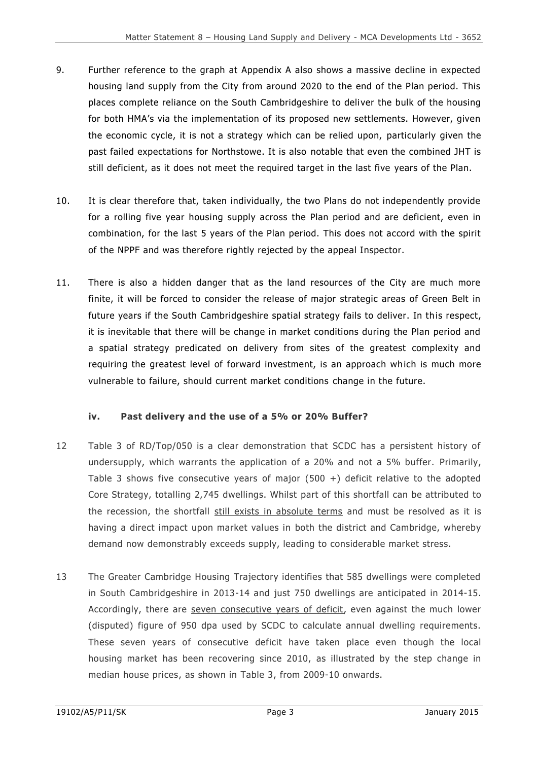- 9. Further reference to the graph at Appendix A also shows a massive decline in expected housing land supply from the City from around 2020 to the end of the Plan period. This places complete reliance on the South Cambridgeshire to deli ver the bulk of the housing for both HMA's via the implementation of its proposed new settlements. However, given the economic cycle, it is not a strategy which can be relied upon, particularly given the past failed expectations for Northstowe. It is also notable that even the combined JHT is still deficient, as it does not meet the required target in the last five years of the Plan.
- 10. It is clear therefore that, taken individually, the two Plans do not independently provide for a rolling five year housing supply across the Plan period and are deficient, even in combination, for the last 5 years of the Plan period. This does not accord with the spirit of the NPPF and was therefore rightly rejected by the appeal Inspector.
- 11. There is also a hidden danger that as the land resources of the City are much more finite, it will be forced to consider the release of major strategic areas of Green Belt in future years if the South Cambridgeshire spatial strategy fails to deliver. In this respect, it is inevitable that there will be change in market conditions during the Plan period and a spatial strategy predicated on delivery from sites of the greatest complexity and requiring the greatest level of forward investment, is an approach which is much more vulnerable to failure, should current market conditions change in the future.

### **iv. Past delivery and the use of a 5% or 20% Buffer?**

- 12 Table 3 of RD/Top/050 is a clear demonstration that SCDC has a persistent history of undersupply, which warrants the application of a 20% and not a 5% buffer. Primarily, Table 3 shows five consecutive years of major  $(500 +)$  deficit relative to the adopted Core Strategy, totalling 2,745 dwellings. Whilst part of this shortfall can be attributed to the recession, the shortfall still exists in absolute terms and must be resolved as it is having a direct impact upon market values in both the district and Cambridge, whereby demand now demonstrably exceeds supply, leading to considerable market stress.
- 13 The Greater Cambridge Housing Trajectory identifies that 585 dwellings were completed in South Cambridgeshire in 2013-14 and just 750 dwellings are anticipated in 2014-15. Accordingly, there are seven consecutive years of deficit, even against the much lower (disputed) figure of 950 dpa used by SCDC to calculate annual dwelling requirements. These seven years of consecutive deficit have taken place even though the local housing market has been recovering since 2010, as illustrated by the step change in median house prices, as shown in Table 3, from 2009-10 onwards.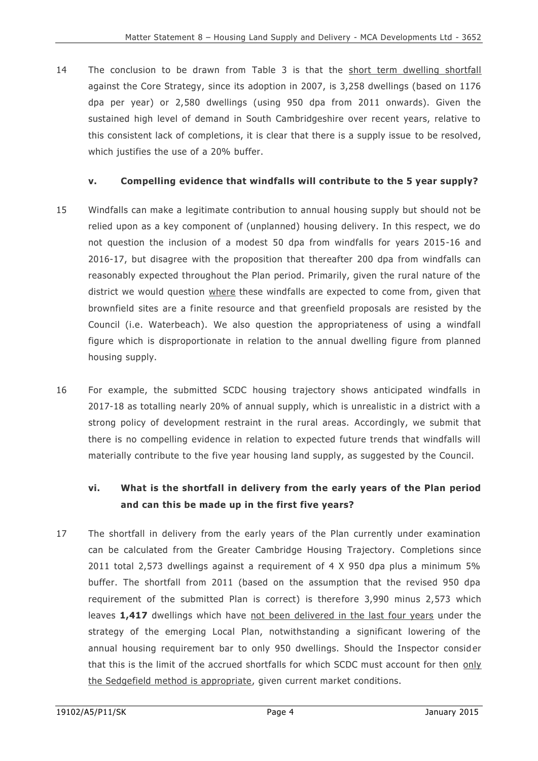14 The conclusion to be drawn from Table 3 is that the short term dwelling shortfall against the Core Strategy, since its adoption in 2007, is 3,258 dwellings (based on 1176 dpa per year) or 2,580 dwellings (using 950 dpa from 2011 onwards). Given the sustained high level of demand in South Cambridgeshire over recent years, relative to this consistent lack of completions, it is clear that there is a supply issue to be resolved, which justifies the use of a 20% buffer.

## **v. Compelling evidence that windfalls will contribute to the 5 year supply?**

- 15 Windfalls can make a legitimate contribution to annual housing supply but should not be relied upon as a key component of (unplanned) housing delivery. In this respect, we do not question the inclusion of a modest 50 dpa from windfalls for years 2015-16 and 2016-17, but disagree with the proposition that thereafter 200 dpa from windfalls can reasonably expected throughout the Plan period. Primarily, given the rural nature of the district we would question where these windfalls are expected to come from, given that brownfield sites are a finite resource and that greenfield proposals are resisted by the Council (i.e. Waterbeach). We also question the appropriateness of using a windfall figure which is disproportionate in relation to the annual dwelling figure from planned housing supply.
- 16 For example, the submitted SCDC housing trajectory shows anticipated windfalls in 2017-18 as totalling nearly 20% of annual supply, which is unrealistic in a district with a strong policy of development restraint in the rural areas. Accordingly, we submit that there is no compelling evidence in relation to expected future trends that windfalls will materially contribute to the five year housing land supply, as suggested by the Council.

# **vi. What is the shortfall in delivery from the early years of the Plan period and can this be made up in the first five years?**

17 The shortfall in delivery from the early years of the Plan currently under examination can be calculated from the Greater Cambridge Housing Trajectory. Completions since 2011 total 2,573 dwellings against a requirement of 4 X 950 dpa plus a minimum 5% buffer. The shortfall from 2011 (based on the assumption that the revised 950 dpa requirement of the submitted Plan is correct) is therefore 3,990 minus 2,573 which leaves **1,417** dwellings which have not been delivered in the last four years under the strategy of the emerging Local Plan, notwithstanding a significant lowering of the annual housing requirement bar to only 950 dwellings. Should the Inspector consid er that this is the limit of the accrued shortfalls for which SCDC must account for then only the Sedgefield method is appropriate, given current market conditions.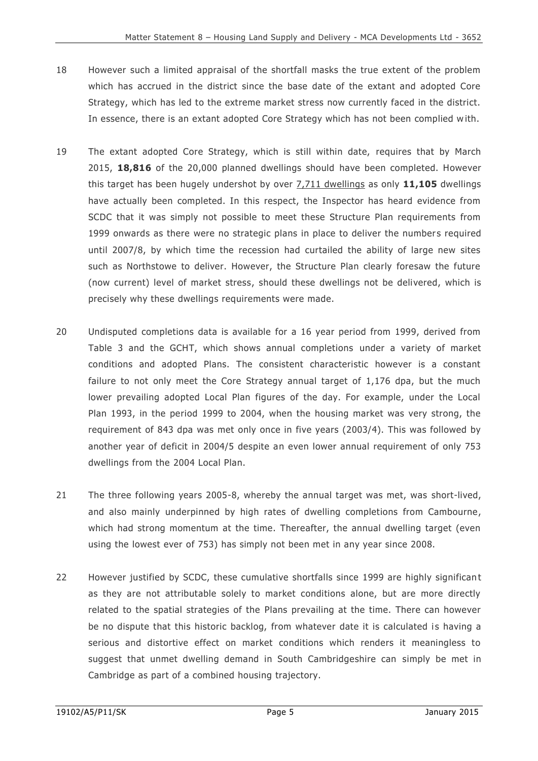- 18 However such a limited appraisal of the shortfall masks the true extent of the problem which has accrued in the district since the base date of the extant and adopted Core Strategy, which has led to the extreme market stress now currently faced in the district. In essence, there is an extant adopted Core Strategy which has not been complied w ith.
- 19 The extant adopted Core Strategy, which is still within date, requires that by March 2015, **18,816** of the 20,000 planned dwellings should have been completed. However this target has been hugely undershot by over 7,711 dwellings as only **11,105** dwellings have actually been completed. In this respect, the Inspector has heard evidence from SCDC that it was simply not possible to meet these Structure Plan requirements from 1999 onwards as there were no strategic plans in place to deliver the numbers required until 2007/8, by which time the recession had curtailed the ability of large new sites such as Northstowe to deliver. However, the Structure Plan clearly foresaw the future (now current) level of market stress, should these dwellings not be delivered, which is precisely why these dwellings requirements were made.
- 20 Undisputed completions data is available for a 16 year period from 1999, derived from Table 3 and the GCHT, which shows annual completions under a variety of market conditions and adopted Plans. The consistent characteristic however is a constant failure to not only meet the Core Strategy annual target of 1,176 dpa, but the much lower prevailing adopted Local Plan figures of the day. For example, under the Local Plan 1993, in the period 1999 to 2004, when the housing market was very strong, the requirement of 843 dpa was met only once in five years (2003/4). This was followed by another year of deficit in 2004/5 despite an even lower annual requirement of only 753 dwellings from the 2004 Local Plan.
- 21 The three following years 2005-8, whereby the annual target was met, was short-lived, and also mainly underpinned by high rates of dwelling completions from Cambourne, which had strong momentum at the time. Thereafter, the annual dwelling target (even using the lowest ever of 753) has simply not been met in any year since 2008.
- 22 However justified by SCDC, these cumulative shortfalls since 1999 are highly significant as they are not attributable solely to market conditions alone, but are more directly related to the spatial strategies of the Plans prevailing at the time. There can however be no dispute that this historic backlog, from whatever date it is calculated is having a serious and distortive effect on market conditions which renders it meaningless to suggest that unmet dwelling demand in South Cambridgeshire can simply be met in Cambridge as part of a combined housing trajectory.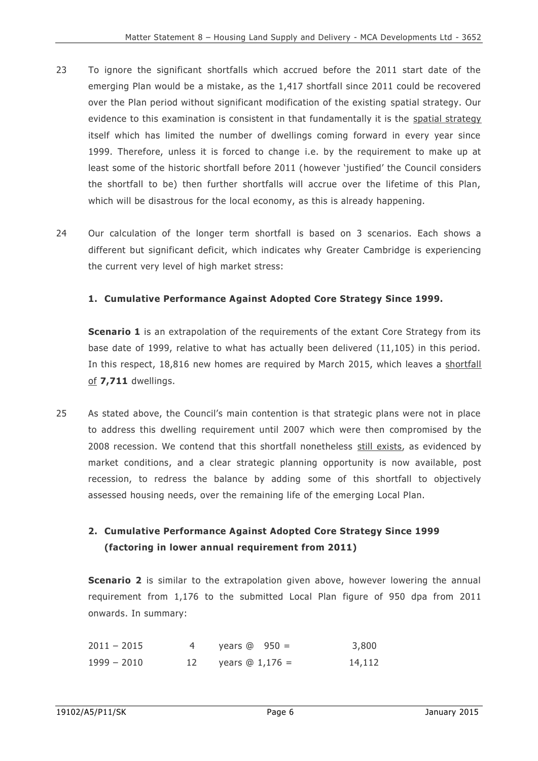- 23 To ignore the significant shortfalls which accrued before the 2011 start date of the emerging Plan would be a mistake, as the 1,417 shortfall since 2011 could be recovered over the Plan period without significant modification of the existing spatial strategy. Our evidence to this examination is consistent in that fundamentally it is the spatial strategy itself which has limited the number of dwellings coming forward in every year since 1999. Therefore, unless it is forced to change i.e. by the requirement to make up at least some of the historic shortfall before 2011 (however 'justified' the Council considers the shortfall to be) then further shortfalls will accrue over the lifetime of this Plan, which will be disastrous for the local economy, as this is already happening.
- 24 Our calculation of the longer term shortfall is based on 3 scenarios. Each shows a different but significant deficit, which indicates why Greater Cambridge is experiencing the current very level of high market stress:

#### **1. Cumulative Performance Against Adopted Core Strategy Since 1999.**

**Scenario 1** is an extrapolation of the requirements of the extant Core Strategy from its base date of 1999, relative to what has actually been delivered (11,105) in this period. In this respect, 18,816 new homes are required by March 2015, which leaves a shortfall of **7,711** dwellings.

25 As stated above, the Council's main contention is that strategic plans were not in place to address this dwelling requirement until 2007 which were then compromised by the 2008 recession. We contend that this shortfall nonetheless still exists, as evidenced by market conditions, and a clear strategic planning opportunity is now available, post recession, to redress the balance by adding some of this shortfall to objectively assessed housing needs, over the remaining life of the emerging Local Plan.

## **2. Cumulative Performance Against Adopted Core Strategy Since 1999 (factoring in lower annual requirement from 2011)**

**Scenario 2** is similar to the extrapolation given above, however lowering the annual requirement from 1,176 to the submitted Local Plan figure of 950 dpa from 2011 onwards. In summary:

| $2011 - 2015$ | years $@$ 950 =     | 3,800  |
|---------------|---------------------|--------|
| $1999 - 2010$ | 12 years $@1,176 =$ | 14,112 |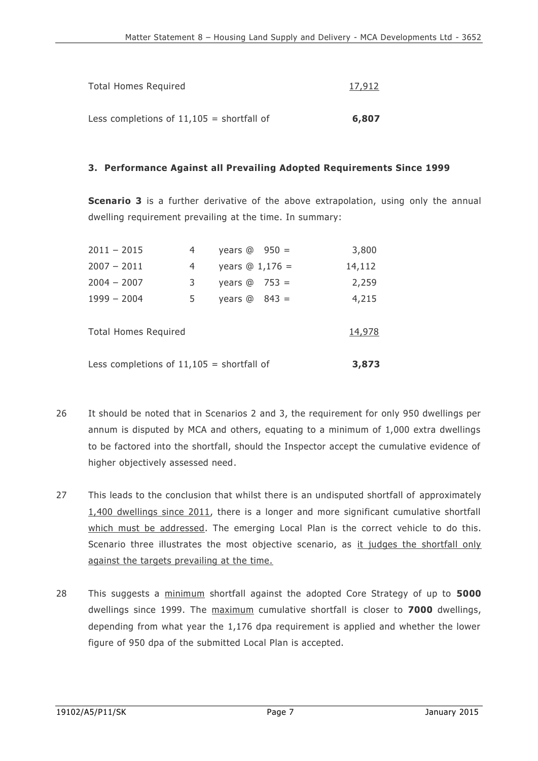| <b>Total Homes Required</b>                 | 17,912 |
|---------------------------------------------|--------|
|                                             |        |
| Less completions of $11,105$ = shortfall of | 6,807  |

#### **3. Performance Against all Prevailing Adopted Requirements Since 1999**

**Scenario 3** is a further derivative of the above extrapolation, using only the annual dwelling requirement prevailing at the time. In summary:

| Less completions of $11,105$ = shortfall of |    |                      | 3,873  |
|---------------------------------------------|----|----------------------|--------|
| <b>Total Homes Required</b>                 |    |                      | 14,978 |
| $1999 - 2004$                               | 5. | years $@$ 843 =      | 4,215  |
| $2004 - 2007$                               | 3  | years $\omega$ 753 = | 2,259  |
| $2007 - 2011$                               | 4  | years $@1,176 =$     | 14,112 |
| $2011 - 2015$                               |    | years $@$ 950 =      | 3,800  |

- 26 It should be noted that in Scenarios 2 and 3, the requirement for only 950 dwellings per annum is disputed by MCA and others, equating to a minimum of 1,000 extra dwellings to be factored into the shortfall, should the Inspector accept the cumulative evidence of higher objectively assessed need.
- 27 This leads to the conclusion that whilst there is an undisputed shortfall of approximately 1,400 dwellings since 2011, there is a longer and more significant cumulative shortfall which must be addressed. The emerging Local Plan is the correct vehicle to do this. Scenario three illustrates the most objective scenario, as it judges the shortfall only against the targets prevailing at the time.
- 28 This suggests a minimum shortfall against the adopted Core Strategy of up to **5000**  dwellings since 1999. The maximum cumulative shortfall is closer to **7000** dwellings, depending from what year the 1,176 dpa requirement is applied and whether the lower figure of 950 dpa of the submitted Local Plan is accepted.